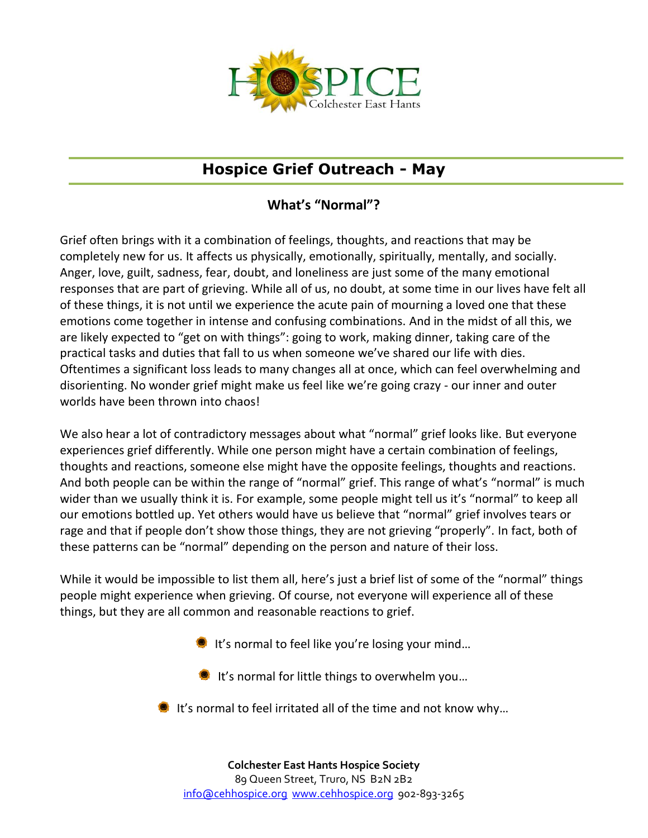

## **Hospice Grief Outreach - May**

## **What's "Normal"?**

Grief often brings with it a combination of feelings, thoughts, and reactions that may be completely new for us. It affects us physically, emotionally, spiritually, mentally, and socially. Anger, love, guilt, sadness, fear, doubt, and loneliness are just some of the many emotional responses that are part of grieving. While all of us, no doubt, at some time in our lives have felt all of these things, it is not until we experience the acute pain of mourning a loved one that these emotions come together in intense and confusing combinations. And in the midst of all this, we are likely expected to "get on with things": going to work, making dinner, taking care of the practical tasks and duties that fall to us when someone we've shared our life with dies. Oftentimes a significant loss leads to many changes all at once, which can feel overwhelming and disorienting. No wonder grief might make us feel like we're going crazy - our inner and outer worlds have been thrown into chaos!

We also hear a lot of contradictory messages about what "normal" grief looks like. But everyone experiences grief differently. While one person might have a certain combination of feelings, thoughts and reactions, someone else might have the opposite feelings, thoughts and reactions. And both people can be within the range of "normal" grief. This range of what's "normal" is much wider than we usually think it is. For example, some people might tell us it's "normal" to keep all our emotions bottled up. Yet others would have us believe that "normal" grief involves tears or rage and that if people don't show those things, they are not grieving "properly". In fact, both of these patterns can be "normal" depending on the person and nature of their loss.

While it would be impossible to list them all, here's just a brief list of some of the "normal" things people might experience when grieving. Of course, not everyone will experience all of these things, but they are all common and reasonable reactions to grief.

- It's normal to feel like you're losing your mind...
- It's normal for little things to overwhelm you...
- It's normal to feel irritated all of the time and not know why...

**Colchester East Hants Hospice Society** 89 Queen Street, Truro, NS B2N 2B2 info@cehhospice.org www.cehhospice.org 902-893-3265